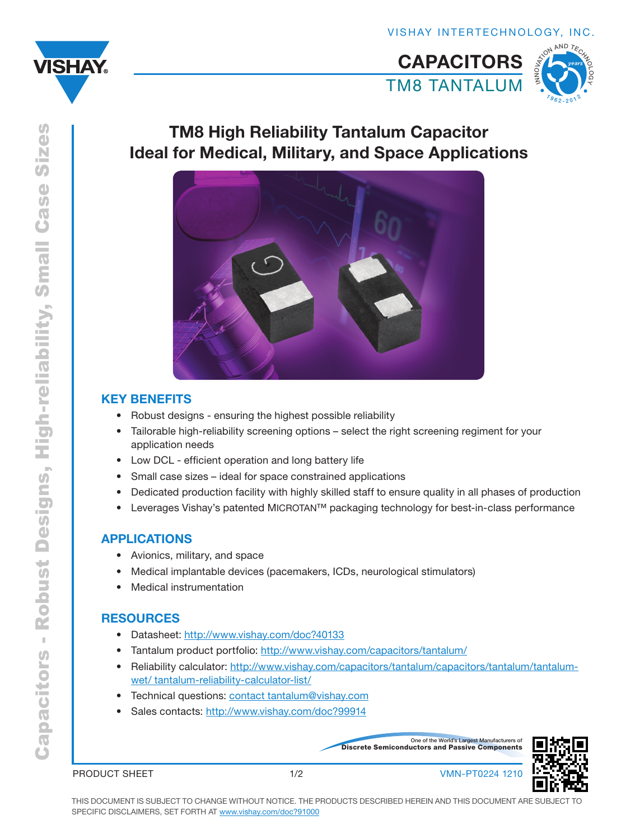<span id="page-0-0"></span>





## TM8 High Reliability Tantalum Capacitor Ideal for Medical, Military, and Space Applications



## KEY BENEFITS

- Robust designs ensuring the highest possible reliability
- • Tailorable high-reliability screening options select the right screening regiment for your application needs
- Low DCL efficient operation and long battery life
- Small case sizes ideal for space constrained applications
- Dedicated production facility with highly skilled staff to ensure quality in all phases of production
- Leverages Vishay's patented MICROTAN™ packaging technology for best-in-class performance

## APPLICATIONS

- • Avionics, military, and space
- Medical implantable devices (pacemakers, ICDs, neurological stimulators)
- **Medical instrumentation**

## **RESOURCES**

- Datasheet: <http://www.vishay.com/doc?40133>
- Tantalum product portfolio: <http://www.vishay.com/capacitors/tantalum/>
- Reliability calculator: [http://www.vishay.com/capacitors/tantalum/capacitors/tantalum/tantalum](http://www.vishay.com/capacitors/tantalum/capacitors/tantalum/tantalum-wet/ tantalum-reliability-calculator-list/)[wet/ tantalum-reliability-calculator-list/](http://www.vishay.com/capacitors/tantalum/capacitors/tantalum/tantalum-wet/ tantalum-reliability-calculator-list/)
- Technical questions: [contact tantalum@vishay.com](mailto:contact%20tantalum%40vishay.com?subject=)
- Sales contacts: <http://www.vishay.com/doc?99914>

One of the World's Largest Manufacturers of<br>Discrete Semiconductors and Passive Components



PRODUCT SHEET

1/2 VMN-PT0224 1210